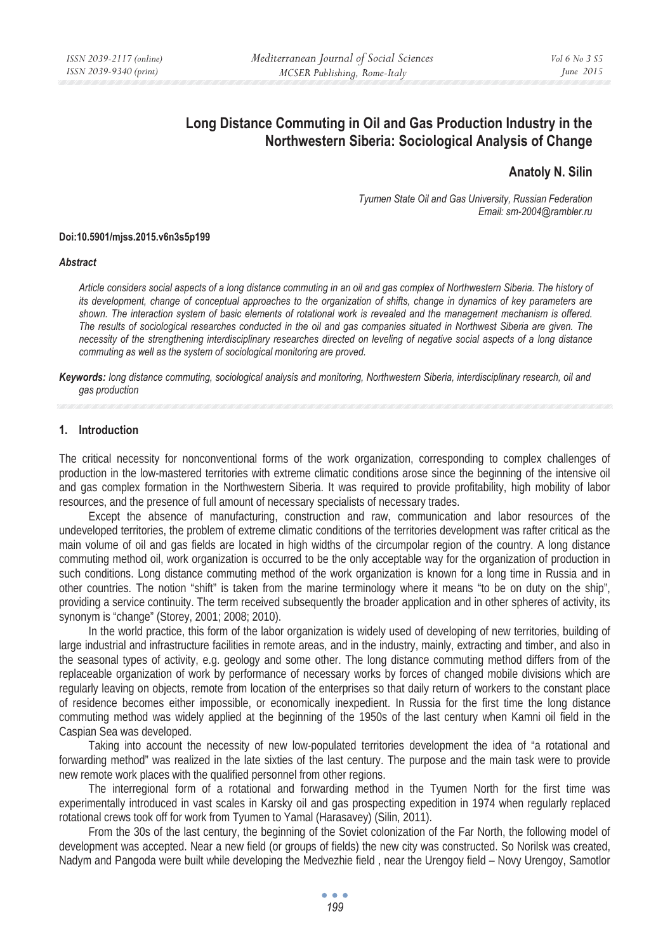# **Long Distance Commuting in Oil and Gas Production Industry in the Northwestern Siberia: Sociological Analysis of Change**

# **Anatoly N. Silin**

*Tyumen State Oil and Gas University, Russian Federation Email: sm-2004@rambler.ru* 

#### **Doi:10.5901/mjss.2015.v6n3s5p199**

#### *Abstract*

*Article considers social aspects of a long distance commuting in an oil and gas complex of Northwestern Siberia. The history of its development, change of conceptual approaches to the organization of shifts, change in dynamics of key parameters are shown. The interaction system of basic elements of rotational work is revealed and the management mechanism is offered. The results of sociological researches conducted in the oil and gas companies situated in Northwest Siberia are given. The necessity of the strengthening interdisciplinary researches directed on leveling of negative social aspects of a long distance commuting as well as the system of sociological monitoring are proved.* 

*Keywords: long distance commuting, sociological analysis and monitoring, Northwestern Siberia, interdisciplinary research, oil and gas production* 

#### **1. Introduction**

The critical necessity for nonconventional forms of the work organization, corresponding to complex challenges of production in the low-mastered territories with extreme climatic conditions arose since the beginning of the intensive oil and gas complex formation in the Northwestern Siberia. It was required to provide profitability, high mobility of labor resources, and the presence of full amount of necessary specialists of necessary trades.

Except the absence of manufacturing, construction and raw, communication and labor resources of the undeveloped territories, the problem of extreme climatic conditions of the territories development was rafter critical as the main volume of oil and gas fields are located in high widths of the circumpolar region of the country. A long distance commuting method oil, work organization is occurred to be the only acceptable way for the organization of production in such conditions. Long distance commuting method of the work organization is known for a long time in Russia and in other countries. The notion "shift" is taken from the marine terminology where it means "to be on duty on the ship", providing a service continuity. The term received subsequently the broader application and in other spheres of activity, its synonym is "change" (Storey, 2001; 2008; 2010).

In the world practice, this form of the labor organization is widely used of developing of new territories, building of large industrial and infrastructure facilities in remote areas, and in the industry, mainly, extracting and timber, and also in the seasonal types of activity, e.g. geology and some other. The long distance commuting method differs from of the replaceable organization of work by performance of necessary works by forces of changed mobile divisions which are regularly leaving on objects, remote from location of the enterprises so that daily return of workers to the constant place of residence becomes either impossible, or economically inexpedient. In Russia for the first time the long distance commuting method was widely applied at the beginning of the 1950s of the last century when Kamni oil field in the Caspian Sea was developed.

Taking into account the necessity of new low-populated territories development the idea of "a rotational and forwarding method" was realized in the late sixties of the last century. The purpose and the main task were to provide new remote work places with the qualified personnel from other regions.

The interregional form of a rotational and forwarding method in the Tyumen North for the first time was experimentally introduced in vast scales in Karsky oil and gas prospecting expedition in 1974 when regularly replaced rotational crews took off for work from Tyumen to Yamal (Harasavey) (Silin, 2011).

From the 30s of the last century, the beginning of the Soviet colonization of the Far North, the following model of development was accepted. Near a new field (or groups of fields) the new city was constructed. So Norilsk was created, Nadym and Pangoda were built while developing the Medvezhie field , near the Urengoy field – Novy Urengoy, Samotlor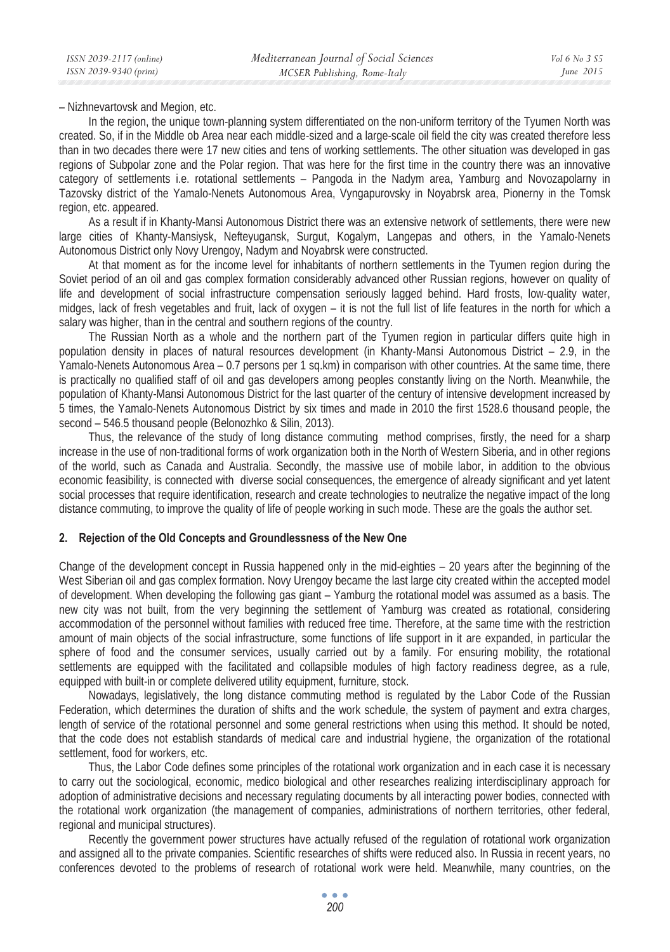– Nizhnevartovsk and Megion, etc.

In the region, the unique town-planning system differentiated on the non-uniform territory of the Tyumen North was created. So, if in the Middle ob Area near each middle-sized and a large-scale oil field the city was created therefore less than in two decades there were 17 new cities and tens of working settlements. The other situation was developed in gas regions of Subpolar zone and the Polar region. That was here for the first time in the country there was an innovative category of settlements i.e. rotational settlements – Pangoda in the Nadym area, Yamburg and Novozapolarny in Tazovsky district of the Yamalo-Nenets Autonomous Area, Vyngapurovsky in Noyabrsk area, Pionerny in the Tomsk region, etc. appeared.

As a result if in Khanty-Mansi Autonomous District there was an extensive network of settlements, there were new large cities of Khanty-Mansiysk, Nefteyugansk, Surgut, Kogalym, Langepas and others, in the Yamalo-Nenets Autonomous District only Novy Urengoy, Nadym and Noyabrsk were constructed.

At that moment as for the income level for inhabitants of northern settlements in the Tyumen region during the Soviet period of an oil and gas complex formation considerably advanced other Russian regions, however on quality of life and development of social infrastructure compensation seriously lagged behind. Hard frosts, low-quality water, midges, lack of fresh vegetables and fruit, lack of oxygen – it is not the full list of life features in the north for which a salary was higher, than in the central and southern regions of the country.

The Russian North as a whole and the northern part of the Tyumen region in particular differs quite high in population density in places of natural resources development (in Khanty-Mansi Autonomous District – 2.9, in the Yamalo-Nenets Autonomous Area – 0.7 persons per 1 sq.km) in comparison with other countries. At the same time, there is practically no qualified staff of oil and gas developers among peoples constantly living on the North. Meanwhile, the population of Khanty-Mansi Autonomous District for the last quarter of the century of intensive development increased by 5 times, the Yamalo-Nenets Autonomous District by six times and made in 2010 the first 1528.6 thousand people, the second – 546.5 thousand people (Belonozhko & Silin, 2013).

Thus, the relevance of the study of long distance commuting method comprises, firstly, the need for a sharp increase in the use of non-traditional forms of work organization both in the North of Western Siberia, and in other regions of the world, such as Canada and Australia. Secondly, the massive use of mobile labor, in addition to the obvious economic feasibility, is connected with diverse social consequences, the emergence of already significant and yet latent social processes that require identification, research and create technologies to neutralize the negative impact of the long distance commuting, to improve the quality of life of people working in such mode. These are the goals the author set.

### **2. Rejection of the Old Concepts and Groundlessness of the New One**

Change of the development concept in Russia happened only in the mid-eighties – 20 years after the beginning of the West Siberian oil and gas complex formation. Novy Urengoy became the last large city created within the accepted model of development. When developing the following gas giant – Yamburg the rotational model was assumed as a basis. The new city was not built, from the very beginning the settlement of Yamburg was created as rotational, considering accommodation of the personnel without families with reduced free time. Therefore, at the same time with the restriction amount of main objects of the social infrastructure, some functions of life support in it are expanded, in particular the sphere of food and the consumer services, usually carried out by a family. For ensuring mobility, the rotational settlements are equipped with the facilitated and collapsible modules of high factory readiness degree, as a rule, equipped with built-in or complete delivered utility equipment, furniture, stock.

Nowadays, legislatively, the long distance commuting method is regulated by the Labor Code of the Russian Federation, which determines the duration of shifts and the work schedule, the system of payment and extra charges, length of service of the rotational personnel and some general restrictions when using this method. It should be noted, that the code does not establish standards of medical care and industrial hygiene, the organization of the rotational settlement, food for workers, etc.

Thus, the Labor Code defines some principles of the rotational work organization and in each case it is necessary to carry out the sociological, economic, medico biological and other researches realizing interdisciplinary approach for adoption of administrative decisions and necessary regulating documents by all interacting power bodies, connected with the rotational work organization (the management of companies, administrations of northern territories, other federal, regional and municipal structures).

Recently the government power structures have actually refused of the regulation of rotational work organization and assigned all to the private companies. Scientific researches of shifts were reduced also. In Russia in recent years, no conferences devoted to the problems of research of rotational work were held. Meanwhile, many countries, on the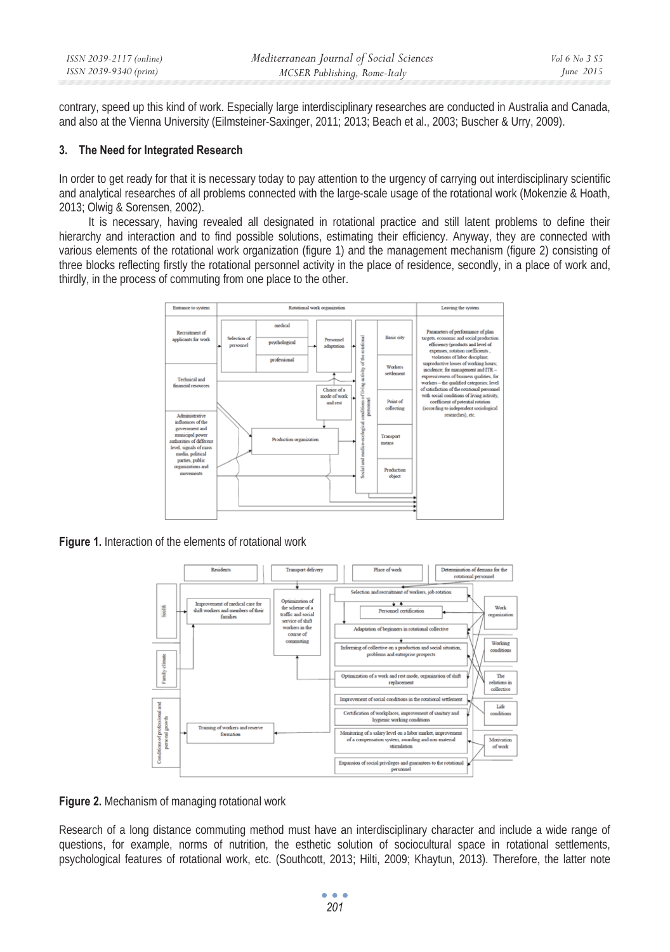| ISSN 2039-2117 (online) | Mediterranean Journal of Social Sciences | Vol 6 No 3 S5 |
|-------------------------|------------------------------------------|---------------|
| ISSN 2039-9340 (print)  | MCSER Publishing, Rome-Italy             | June 2015     |
|                         |                                          |               |

contrary, speed up this kind of work. Especially large interdisciplinary researches are conducted in Australia and Canada, and also at the Vienna University (Eilmsteiner-Saxinger, 2011; 2013; Beach et al., 2003; Buscher & Urry, 2009).

#### **3. The Need for Integrated Research**

In order to get ready for that it is necessary today to pay attention to the urgency of carrying out interdisciplinary scientific and analytical researches of all problems connected with the large-scale usage of the rotational work (Mokenzie & Hoath, 2013; Olwig & Sorensen, 2002).

It is necessary, having revealed all designated in rotational practice and still latent problems to define their hierarchy and interaction and to find possible solutions, estimating their efficiency. Anyway, they are connected with various elements of the rotational work organization (figure 1) and the management mechanism (figure 2) consisting of three blocks reflecting firstly the rotational personnel activity in the place of residence, secondly, in a place of work and, thirdly, in the process of commuting from one place to the other.



**Figure 1.** Interaction of the elements of rotational work



**Figure 2.** Mechanism of managing rotational work

Research of a long distance commuting method must have an interdisciplinary character and include a wide range of questions, for example, norms of nutrition, the esthetic solution of sociocultural space in rotational settlements, psychological features of rotational work, etc. (Southcott, 2013; Hilti, 2009; Khaytun, 2013). Therefore, the latter note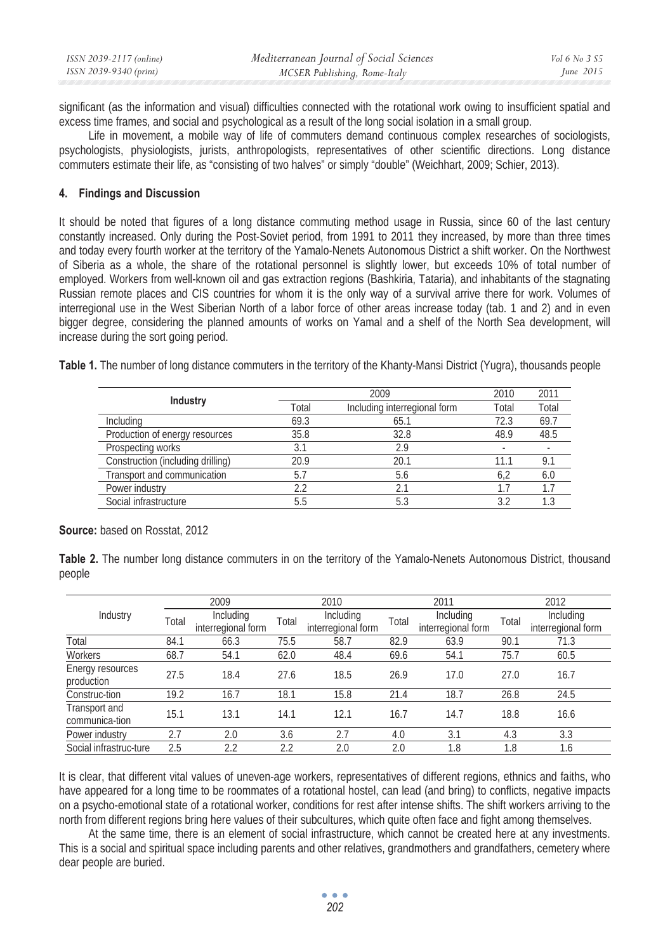| ISSN 2039-2117 (online) | Mediterranean Journal of Social Sciences | Vol 6 No 3 S5 |
|-------------------------|------------------------------------------|---------------|
| ISSN 2039-9340 (print)  | MCSER Publishing, Rome-Italy             | June $2015$   |

significant (as the information and visual) difficulties connected with the rotational work owing to insufficient spatial and excess time frames, and social and psychological as a result of the long social isolation in a small group.

Life in movement, a mobile way of life of commuters demand continuous complex researches of sociologists, psychologists, physiologists, jurists, anthropologists, representatives of other scientific directions. Long distance commuters estimate their life, as "consisting of two halves" or simply "double" (Weichhart, 2009; Schier, 2013).

#### **4. Findings and Discussion**

It should be noted that figures of a long distance commuting method usage in Russia, since 60 of the last century constantly increased. Only during the Post-Soviet period, from 1991 to 2011 they increased, by more than three times and today every fourth worker at the territory of the Yamalo-Nenets Autonomous District a shift worker. On the Northwest of Siberia as a whole, the share of the rotational personnel is slightly lower, but exceeds 10% of total number of employed. Workers from well-known oil and gas extraction regions (Bashkiria, Tataria), and inhabitants of the stagnating Russian remote places and CIS countries for whom it is the only way of a survival arrive there for work. Volumes of interregional use in the West Siberian North of a labor force of other areas increase today (tab. 1 and 2) and in even bigger degree, considering the planned amounts of works on Yamal and a shelf of the North Sea development, will increase during the sort going period.

**Table 1.** The number of long distance commuters in the territory of the Khanty-Mansi District (Yugra), thousands people

| Industry                          |       | 2009                         | 2010  | 2011  |
|-----------------------------------|-------|------------------------------|-------|-------|
|                                   | Total | Including interregional form | Total | Total |
| Including                         | 69.3  | 65.1                         | 72.3  | 69.7  |
| Production of energy resources    | 35.8  | 32.8                         | 48.9  | 48.5  |
| Prospecting works                 | 3.1   | 2.9                          |       |       |
| Construction (including drilling) | 20.9  | 20.1                         | 11.1  | 9.1   |
| Transport and communication       | 5.7   | 5.6                          | 6.2   | 6.0   |
| Power industry                    | 2.2   | 2.1                          |       |       |
| Social infrastructure             | 5.5   | 5.3                          | 3.2   |       |

**Source:** based on Rosstat, 2012

**Table 2.** The number long distance commuters in on the territory of the Yamalo-Nenets Autonomous District, thousand people

|                                 |       | 2009<br>2010                    |       |                                 | 2011  |                                 | 2012  |                                 |
|---------------------------------|-------|---------------------------------|-------|---------------------------------|-------|---------------------------------|-------|---------------------------------|
| Industry                        | Total | Including<br>interregional form | Total | Including<br>interregional form | Total | Including<br>interregional form | Total | Including<br>interregional form |
| Total                           | 84.1  | 66.3                            | 75.5  | 58.7                            | 82.9  | 63.9                            | 90.1  | 71.3                            |
| Workers                         | 68.7  | 54.1                            | 62.0  | 48.4                            | 69.6  | 54.1                            | 75.7  | 60.5                            |
| Energy resources<br>production  | 27.5  | 18.4                            | 27.6  | 18.5                            | 26.9  | 17.0                            | 27.0  | 16.7                            |
| Construc-tion                   | 19.2  | 16.7                            | 18.1  | 15.8                            | 21.4  | 18.7                            | 26.8  | 24.5                            |
| Transport and<br>communica-tion | 15.1  | 13.1                            | 14.1  | 12.1                            | 16.7  | 14.7                            | 18.8  | 16.6                            |
| Power industry                  | 2.7   | 2.0                             | 3.6   | 2.7                             | 4.0   | 3.1                             | 4.3   | 3.3                             |
| Social infrastruc-ture          | 2.5   | 2.2                             | 2.2   | 2.0                             | 2.0   | 1.8                             | 1.8   | 1.6                             |

It is clear, that different vital values of uneven-age workers, representatives of different regions, ethnics and faiths, who have appeared for a long time to be roommates of a rotational hostel, can lead (and bring) to conflicts, negative impacts on a psycho-emotional state of a rotational worker, conditions for rest after intense shifts. The shift workers arriving to the north from different regions bring here values of their subcultures, which quite often face and fight among themselves.

At the same time, there is an element of social infrastructure, which cannot be created here at any investments. This is a social and spiritual space including parents and other relatives, grandmothers and grandfathers, cemetery where dear people are buried.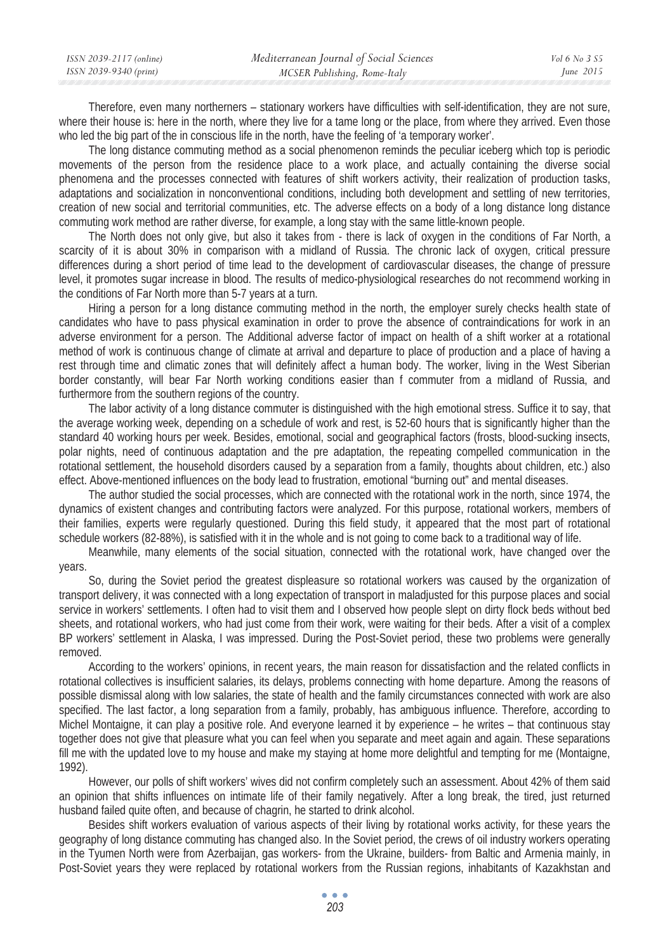| ISSN 2039-2117 (online) | Mediterranean Journal of Social Sciences | Vol 6 No 3 S5 |
|-------------------------|------------------------------------------|---------------|
| ISSN 2039-9340 (print)  | MCSER Publishing, Rome-Italy             | June $2015$   |
|                         |                                          |               |

Therefore, even many northerners – stationary workers have difficulties with self-identification, they are not sure, where their house is: here in the north, where they live for a tame long or the place, from where they arrived. Even those who led the big part of the in conscious life in the north, have the feeling of 'a temporary worker'.

The long distance commuting method as a social phenomenon reminds the peculiar iceberg which top is periodic movements of the person from the residence place to a work place, and actually containing the diverse social phenomena and the processes connected with features of shift workers activity, their realization of production tasks, adaptations and socialization in nonconventional conditions, including both development and settling of new territories, creation of new social and territorial communities, etc. The adverse effects on a body of a long distance long distance commuting work method are rather diverse, for example, a long stay with the same little-known people.

The North does not only give, but also it takes from - there is lack of oxygen in the conditions of Far North, a scarcity of it is about 30% in comparison with a midland of Russia. The chronic lack of oxygen, critical pressure differences during a short period of time lead to the development of cardiovascular diseases, the change of pressure level, it promotes sugar increase in blood. The results of medico-physiological researches do not recommend working in the conditions of Far North more than 5-7 years at a turn.

Hiring a person for a long distance commuting method in the north, the employer surely checks health state of candidates who have to pass physical examination in order to prove the absence of contraindications for work in an adverse environment for a person. The Additional adverse factor of impact on health of a shift worker at a rotational method of work is continuous change of climate at arrival and departure to place of production and a place of having a rest through time and climatic zones that will definitely affect a human body. The worker, living in the West Siberian border constantly, will bear Far North working conditions easier than f commuter from a midland of Russia, and furthermore from the southern regions of the country.

The labor activity of a long distance commuter is distinguished with the high emotional stress. Suffice it to say, that the average working week, depending on a schedule of work and rest, is 52-60 hours that is significantly higher than the standard 40 working hours per week. Besides, emotional, social and geographical factors (frosts, blood-sucking insects, polar nights, need of continuous adaptation and the pre adaptation, the repeating compelled communication in the rotational settlement, the household disorders caused by a separation from a family, thoughts about children, etc.) also effect. Above-mentioned influences on the body lead to frustration, emotional "burning out" and mental diseases.

The author studied the social processes, which are connected with the rotational work in the north, since 1974, the dynamics of existent changes and contributing factors were analyzed. For this purpose, rotational workers, members of their families, experts were regularly questioned. During this field study, it appeared that the most part of rotational schedule workers (82-88%), is satisfied with it in the whole and is not going to come back to a traditional way of life.

Meanwhile, many elements of the social situation, connected with the rotational work, have changed over the years.

So, during the Soviet period the greatest displeasure so rotational workers was caused by the organization of transport delivery, it was connected with a long expectation of transport in maladjusted for this purpose places and social service in workers' settlements. I often had to visit them and I observed how people slept on dirty flock beds without bed sheets, and rotational workers, who had just come from their work, were waiting for their beds. After a visit of a complex BP workers' settlement in Alaska, I was impressed. During the Post-Soviet period, these two problems were generally removed.

According to the workers' opinions, in recent years, the main reason for dissatisfaction and the related conflicts in rotational collectives is insufficient salaries, its delays, problems connecting with home departure. Among the reasons of possible dismissal along with low salaries, the state of health and the family circumstances connected with work are also specified. The last factor, a long separation from a family, probably, has ambiguous influence. Therefore, according to Michel Montaigne, it can play a positive role. And everyone learned it by experience – he writes – that continuous stay together does not give that pleasure what you can feel when you separate and meet again and again. These separations fill me with the updated love to my house and make my staying at home more delightful and tempting for me (Montaigne, 1992).

However, our polls of shift workers' wives did not confirm completely such an assessment. About 42% of them said an opinion that shifts influences on intimate life of their family negatively. After a long break, the tired, just returned husband failed quite often, and because of chagrin, he started to drink alcohol.

Besides shift workers evaluation of various aspects of their living by rotational works activity, for these years the geography of long distance commuting has changed also. In the Soviet period, the crews of oil industry workers operating in the Tyumen North were from Azerbaijan, gas workers- from the Ukraine, builders- from Baltic and Armenia mainly, in Post-Soviet years they were replaced by rotational workers from the Russian regions, inhabitants of Kazakhstan and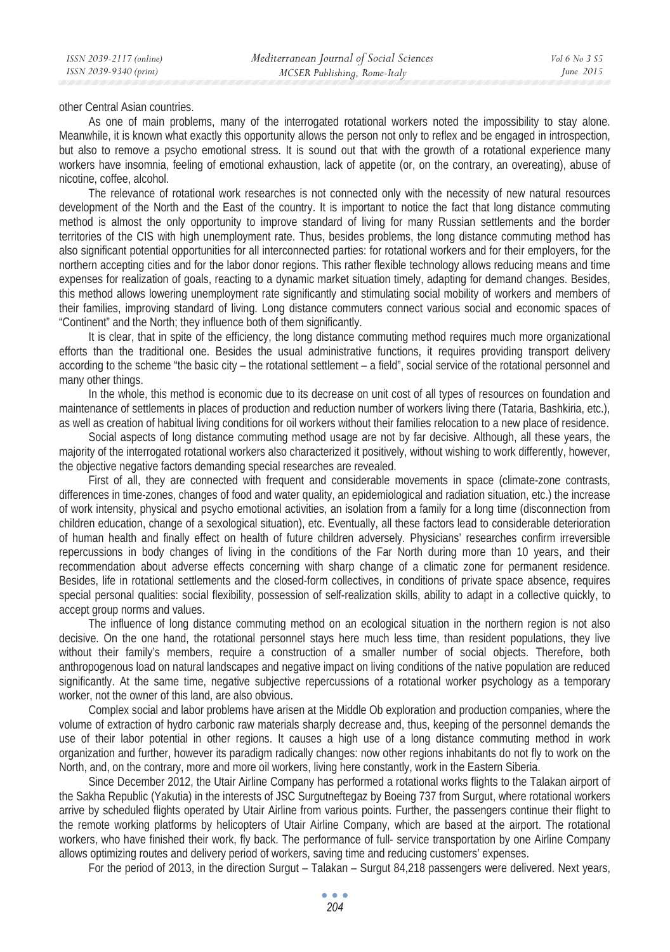other Central Asian countries.

As one of main problems, many of the interrogated rotational workers noted the impossibility to stay alone. Meanwhile, it is known what exactly this opportunity allows the person not only to reflex and be engaged in introspection, but also to remove a psycho emotional stress. It is sound out that with the growth of a rotational experience many workers have insomnia, feeling of emotional exhaustion, lack of appetite (or, on the contrary, an overeating), abuse of nicotine, coffee, alcohol.

The relevance of rotational work researches is not connected only with the necessity of new natural resources development of the North and the East of the country. It is important to notice the fact that long distance commuting method is almost the only opportunity to improve standard of living for many Russian settlements and the border territories of the CIS with high unemployment rate. Thus, besides problems, the long distance commuting method has also significant potential opportunities for all interconnected parties: for rotational workers and for their employers, for the northern accepting cities and for the labor donor regions. This rather flexible technology allows reducing means and time expenses for realization of goals, reacting to a dynamic market situation timely, adapting for demand changes. Besides, this method allows lowering unemployment rate significantly and stimulating social mobility of workers and members of their families, improving standard of living. Long distance commuters connect various social and economic spaces of "Continent" and the North; they influence both of them significantly.

It is clear, that in spite of the efficiency, the long distance commuting method requires much more organizational efforts than the traditional one. Besides the usual administrative functions, it requires providing transport delivery according to the scheme "the basic city – the rotational settlement – a field", social service of the rotational personnel and many other things.

In the whole, this method is economic due to its decrease on unit cost of all types of resources on foundation and maintenance of settlements in places of production and reduction number of workers living there (Tataria, Bashkiria, etc.), as well as creation of habitual living conditions for oil workers without their families relocation to a new place of residence.

Social aspects of long distance commuting method usage are not by far decisive. Although, all these years, the majority of the interrogated rotational workers also characterized it positively, without wishing to work differently, however, the objective negative factors demanding special researches are revealed.

First of all, they are connected with frequent and considerable movements in space (climate-zone contrasts, differences in time-zones, changes of food and water quality, an epidemiological and radiation situation, etc.) the increase of work intensity, physical and psycho emotional activities, an isolation from a family for a long time (disconnection from children education, change of a sexological situation), etc. Eventually, all these factors lead to considerable deterioration of human health and finally effect on health of future children adversely. Physicians' researches confirm irreversible repercussions in body changes of living in the conditions of the Far North during more than 10 years, and their recommendation about adverse effects concerning with sharp change of a climatic zone for permanent residence. Besides, life in rotational settlements and the closed-form collectives, in conditions of private space absence, requires special personal qualities: social flexibility, possession of self-realization skills, ability to adapt in a collective quickly, to accept group norms and values.

The influence of long distance commuting method on an ecological situation in the northern region is not also decisive. On the one hand, the rotational personnel stays here much less time, than resident populations, they live without their family's members, require a construction of a smaller number of social objects. Therefore, both anthropogenous load on natural landscapes and negative impact on living conditions of the native population are reduced significantly. At the same time, negative subjective repercussions of a rotational worker psychology as a temporary worker, not the owner of this land, are also obvious.

Complex social and labor problems have arisen at the Middle Ob exploration and production companies, where the volume of extraction of hydro carbonic raw materials sharply decrease and, thus, keeping of the personnel demands the use of their labor potential in other regions. It causes a high use of a long distance commuting method in work organization and further, however its paradigm radically changes: now other regions inhabitants do not fly to work on the North, and, on the contrary, more and more oil workers, living here constantly, work in the Eastern Siberia.

Since December 2012, the Utair Airline Company has performed a rotational works flights to the Talakan airport of the Sakha Republic (Yakutia) in the interests of JSC Surgutneftegaz by Boeing 737 from Surgut, where rotational workers arrive by scheduled flights operated by Utair Airline from various points. Further, the passengers continue their flight to the remote working platforms by helicopters of Utair Airline Company, which are based at the airport. The rotational workers, who have finished their work, fly back. The performance of full- service transportation by one Airline Company allows optimizing routes and delivery period of workers, saving time and reducing customers' expenses.

For the period of 2013, in the direction Surgut – Talakan – Surgut 84,218 passengers were delivered. Next years,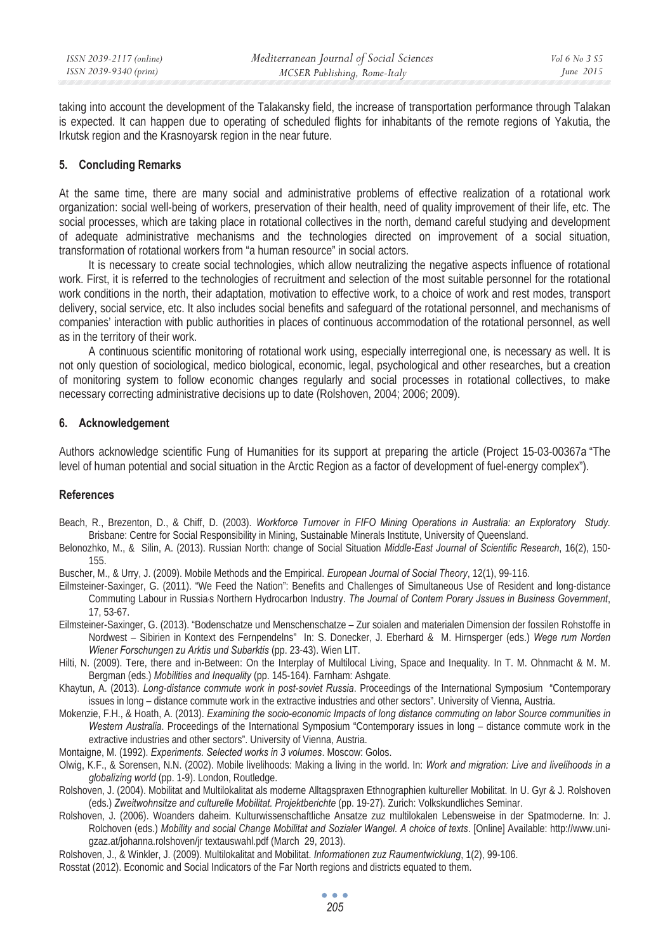taking into account the development of the Talakansky field, the increase of transportation performance through Talakan is expected. It can happen due to operating of scheduled flights for inhabitants of the remote regions of Yakutia, the Irkutsk region and the Krasnoyarsk region in the near future.

## **5. Concluding Remarks**

At the same time, there are many social and administrative problems of effective realization of a rotational work organization: social well-being of workers, preservation of their health, need of quality improvement of their life, etc. The social processes, which are taking place in rotational collectives in the north, demand careful studying and development of adequate administrative mechanisms and the technologies directed on improvement of a social situation, transformation of rotational workers from "a human resource" in social actors.

It is necessary to create social technologies, which allow neutralizing the negative aspects influence of rotational work. First, it is referred to the technologies of recruitment and selection of the most suitable personnel for the rotational work conditions in the north, their adaptation, motivation to effective work, to a choice of work and rest modes, transport delivery, social service, etc. It also includes social benefits and safeguard of the rotational personnel, and mechanisms of companies' interaction with public authorities in places of continuous accommodation of the rotational personnel, as well as in the territory of their work.

A continuous scientific monitoring of rotational work using, especially interregional one, is necessary as well. It is not only question of sociological, medico biological, economic, legal, psychological and other researches, but a creation of monitoring system to follow economic changes regularly and social processes in rotational collectives, to make necessary correcting administrative decisions up to date (Rolshoven, 2004; 2006; 2009).

## **6. Acknowledgement**

Authors acknowledge scientific Fung of Humanities for its support at preparing the article (Project 15-03-00367a "The level of human potential and social situation in the Arctic Region as a factor of development of fuel-energy complex").

# **References**

- Beach, R., Brezenton, D., & Chiff, D. (2003). *Workforce Turnover in FIFO Mining Operations in Australia: an Exploratory Study.* Brisbane: Centre for Social Responsibility in Mining, Sustainable Minerals Institute, University of Queensland.
- Belonozhko, M., & Silin, A. (2013). Russian North: change of Social Situation *Middle-East Journal of Scientific Research*, 16(2), 150- 155.
- Buscher, M., & Urry, J. (2009). Mobile Methods and the Empirical. *European Journal of Social Theory*, 12(1), 99-116.
- Eilmsteiner-Saxinger, G. (2011). "We Feed the Nation": Benefits and Challenges of Simultaneous Use of Resident and long-distance Commuting Labour in Russia<sub>'</sub>s Northern Hydrocarbon Industry. The Journal of Contem Porary Jssues in Business Government, 17, 53-67.
- Eilmsteiner-Saxinger, G. (2013). "Bodenschatze und Menschenschatze Zur soialen and materialen Dimension der fossilen Rohstoffe in Nordwest – Sibirien in Kontext des Fernpendelns" In: S. Donecker, J. Eberhard & M. Hirnsperger (eds.) *Wege rum Norden Wiener Forschungen zu Arktis und Subarktis* (pp. 23-43). Wien LIT.
- Hilti, N. (2009). Tere, there and in-Between: On the Interplay of Multilocal Living, Space and Inequality. In T. M. Ohnmacht & M. M. Bergman (eds.) *Mobilities and Inequality* (pp. 145-164). Farnham: Ashgate.
- Khaytun, A. (2013). *Long-distance commute work in post-soviet Russia*. Proceedings of the International Symposium "Contemporary issues in long – distance commute work in the extractive industries and other sectors". University of Vienna, Austria.
- Mokenzie, F.H., & Hoath, A. (2013). *Examining the socio-economic Impacts of long distance commuting on labor Source communities in Western Australia*. Proceedings of the International Symposium "Contemporary issues in long – distance commute work in the extractive industries and other sectors". University of Vienna, Austria.

Montaigne, M. (1992). *Experiments. Selected works in 3 volumes*. Moscow: Golos.

- Olwig, K.F., & Sorensen, N.N. (2002). Mobile livelihoods: Making a living in the world. In: *Work and migration: Live and livelihoods in a globalizing world* (pp. 1-9). London, Routledge.
- Rolshoven, J. (2004). Mobilitat and Multilokalitat als moderne Alltagspraxen Ethnographien kultureller Mobilitat. In U. Gyr & J. Rolshoven (eds.) *Zweitwohnsitze and culturelle Mobilitat. Projektberichte* (pp. 19-27)*.* Zurich: Volkskundliches Seminar.
- Rolshoven, J. (2006). Woanders daheim. Kulturwissenschaftliche Ansatze zuz multilokalen Lebensweise in der Spatmoderne. In: J. Rolchoven (eds.) *Mobility and social Change Mobilitat and Sozialer Wangel. A choice of texts*. [Online] Available: http://www.unigzaz.at/johanna.rolshoven/jr textauswahl.pdf (March 29, 2013).
- Rolshoven, J., & Winkler, J. (2009). Multilokalitat and Mobilitat. *Informationen zuz Raumentwicklung*, 1(2), 99-106.

Rosstat (2012). Economic and Social Indicators of the Far North regions and districts equated to them.